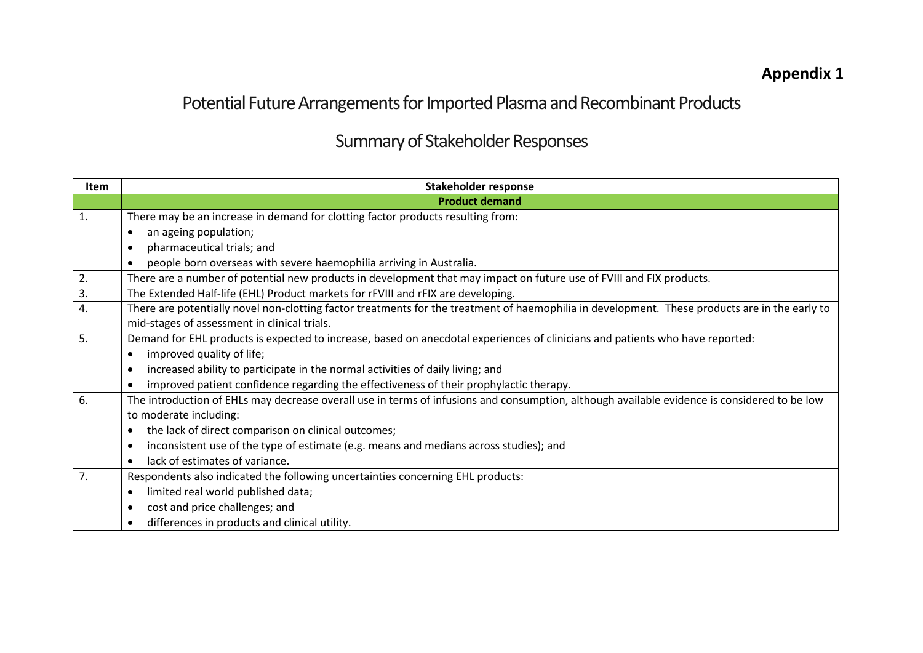## **Appendix 1**

## Potential Future Arrangements for Imported Plasma and Recombinant Products

## Summary of Stakeholder Responses

| Item | <b>Stakeholder response</b>                                                                                                                    |
|------|------------------------------------------------------------------------------------------------------------------------------------------------|
|      | <b>Product demand</b>                                                                                                                          |
| 1.   | There may be an increase in demand for clotting factor products resulting from:                                                                |
|      | an ageing population;                                                                                                                          |
|      | pharmaceutical trials; and                                                                                                                     |
|      | people born overseas with severe haemophilia arriving in Australia.                                                                            |
| 2.   | There are a number of potential new products in development that may impact on future use of FVIII and FIX products.                           |
| 3.   | The Extended Half-life (EHL) Product markets for rFVIII and rFIX are developing.                                                               |
| 4.   | There are potentially novel non-clotting factor treatments for the treatment of haemophilia in development. These products are in the early to |
|      | mid-stages of assessment in clinical trials.                                                                                                   |
| 5.   | Demand for EHL products is expected to increase, based on anecdotal experiences of clinicians and patients who have reported:                  |
|      | improved quality of life;                                                                                                                      |
|      | increased ability to participate in the normal activities of daily living; and                                                                 |
|      | improved patient confidence regarding the effectiveness of their prophylactic therapy.                                                         |
| 6.   | The introduction of EHLs may decrease overall use in terms of infusions and consumption, although available evidence is considered to be low   |
|      | to moderate including:                                                                                                                         |
|      | the lack of direct comparison on clinical outcomes;                                                                                            |
|      | inconsistent use of the type of estimate (e.g. means and medians across studies); and                                                          |
|      | lack of estimates of variance.                                                                                                                 |
| 7.   | Respondents also indicated the following uncertainties concerning EHL products:                                                                |
|      | limited real world published data;<br>$\bullet$                                                                                                |
|      | cost and price challenges; and                                                                                                                 |
|      | differences in products and clinical utility.                                                                                                  |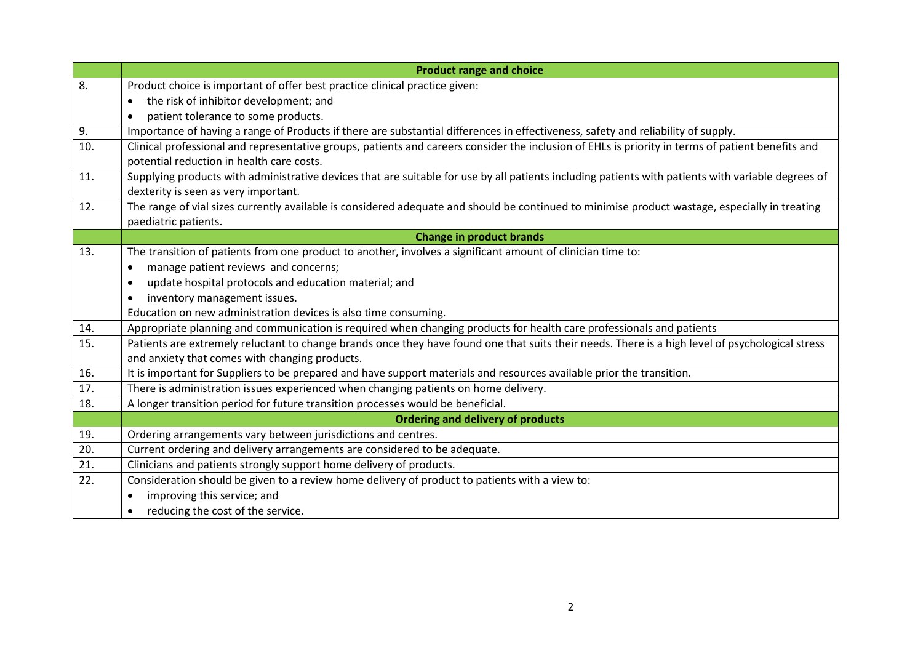|     | <b>Product range and choice</b>                                                                                                                    |
|-----|----------------------------------------------------------------------------------------------------------------------------------------------------|
| 8.  | Product choice is important of offer best practice clinical practice given:                                                                        |
|     | the risk of inhibitor development; and<br>$\bullet$                                                                                                |
|     | patient tolerance to some products.                                                                                                                |
| 9.  | Importance of having a range of Products if there are substantial differences in effectiveness, safety and reliability of supply.                  |
| 10. | Clinical professional and representative groups, patients and careers consider the inclusion of EHLs is priority in terms of patient benefits and  |
|     | potential reduction in health care costs.                                                                                                          |
| 11. | Supplying products with administrative devices that are suitable for use by all patients including patients with patients with variable degrees of |
|     | dexterity is seen as very important.                                                                                                               |
| 12. | The range of vial sizes currently available is considered adequate and should be continued to minimise product wastage, especially in treating     |
|     | paediatric patients.                                                                                                                               |
|     | <b>Change in product brands</b>                                                                                                                    |
| 13. | The transition of patients from one product to another, involves a significant amount of clinician time to:                                        |
|     | manage patient reviews and concerns;<br>٠                                                                                                          |
|     | update hospital protocols and education material; and<br>$\bullet$                                                                                 |
|     | inventory management issues.                                                                                                                       |
|     | Education on new administration devices is also time consuming.                                                                                    |
| 14. | Appropriate planning and communication is required when changing products for health care professionals and patients                               |
| 15. | Patients are extremely reluctant to change brands once they have found one that suits their needs. There is a high level of psychological stress   |
|     | and anxiety that comes with changing products.                                                                                                     |
| 16. | It is important for Suppliers to be prepared and have support materials and resources available prior the transition.                              |
| 17. | There is administration issues experienced when changing patients on home delivery.                                                                |
| 18. | A longer transition period for future transition processes would be beneficial.                                                                    |
|     | <b>Ordering and delivery of products</b>                                                                                                           |
| 19. | Ordering arrangements vary between jurisdictions and centres.                                                                                      |
| 20. | Current ordering and delivery arrangements are considered to be adequate.                                                                          |
| 21. | Clinicians and patients strongly support home delivery of products.                                                                                |
| 22. | Consideration should be given to a review home delivery of product to patients with a view to:                                                     |
|     | improving this service; and                                                                                                                        |
|     | reducing the cost of the service.                                                                                                                  |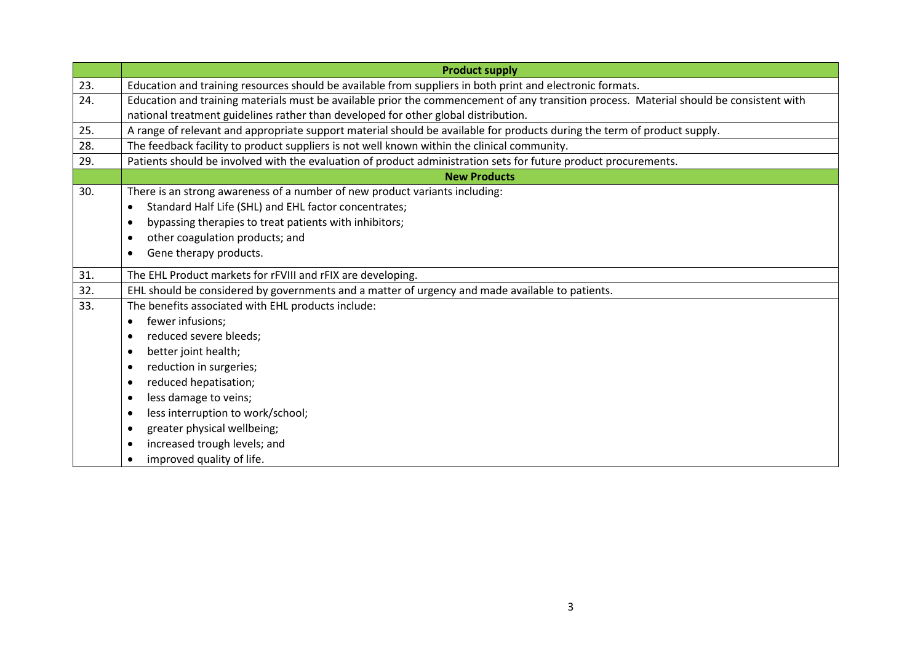|     | <b>Product supply</b>                                                                                                                   |
|-----|-----------------------------------------------------------------------------------------------------------------------------------------|
| 23. | Education and training resources should be available from suppliers in both print and electronic formats.                               |
| 24. | Education and training materials must be available prior the commencement of any transition process. Material should be consistent with |
|     | national treatment guidelines rather than developed for other global distribution.                                                      |
| 25. | A range of relevant and appropriate support material should be available for products during the term of product supply.                |
| 28. | The feedback facility to product suppliers is not well known within the clinical community.                                             |
| 29. | Patients should be involved with the evaluation of product administration sets for future product procurements.                         |
|     | <b>New Products</b>                                                                                                                     |
| 30. | There is an strong awareness of a number of new product variants including:                                                             |
|     | Standard Half Life (SHL) and EHL factor concentrates;<br>$\bullet$                                                                      |
|     | bypassing therapies to treat patients with inhibitors;                                                                                  |
|     | other coagulation products; and                                                                                                         |
|     | Gene therapy products.<br>$\bullet$                                                                                                     |
| 31. | The EHL Product markets for rFVIII and rFIX are developing.                                                                             |
| 32. | EHL should be considered by governments and a matter of urgency and made available to patients.                                         |
| 33. | The benefits associated with EHL products include:                                                                                      |
|     | fewer infusions;<br>$\bullet$                                                                                                           |
|     | reduced severe bleeds;<br>$\bullet$                                                                                                     |
|     | better joint health;                                                                                                                    |
|     | reduction in surgeries;                                                                                                                 |
|     | reduced hepatisation;                                                                                                                   |
|     | less damage to veins;                                                                                                                   |
|     | less interruption to work/school;                                                                                                       |
|     | greater physical wellbeing;                                                                                                             |
|     | increased trough levels; and                                                                                                            |
|     | improved quality of life.                                                                                                               |